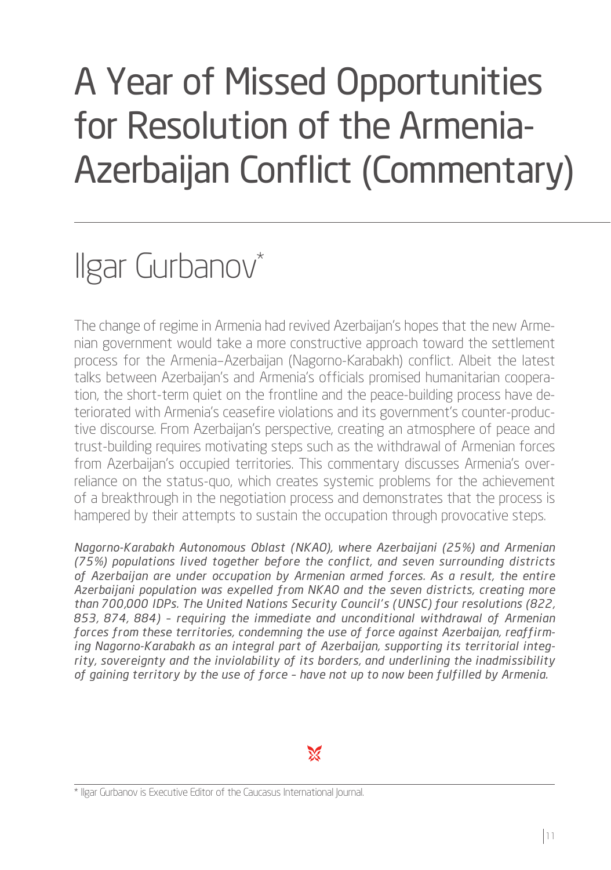# A Year of Missed Opportunities for Resolution of the Armenia-Azerbaijan Conflict (Commentary)

## Ilgar Gurbanov\*

The change of regime in Armenia had revived Azerbaijan's hopes that the new Armenian government would take a more constructive approach toward the settlement process for the Armenia–Azerbaijan (Nagorno-Karabakh) conflict. Albeit the latest talks between Azerbaijan's and Armenia's officials promised humanitarian cooperation, the short-term quiet on the frontline and the peace-building process have deteriorated with Armenia's ceasefire violations and its government's counter-productive discourse. From Azerbaijan's perspective, creating an atmosphere of peace and trust-building requires motivating steps such as the withdrawal of Armenian forces from Azerbaijan's occupied territories. This commentary discusses Armenia's overreliance on the status-quo, which creates systemic problems for the achievement of a breakthrough in the negotiation process and demonstrates that the process is hampered by their attempts to sustain the occupation through provocative steps.

*Nagorno-Karabakh Autonomous Oblast (NKAO), where Azerbaijani (25%) and Armenian (75%) populations lived together before the conflict, and seven surrounding districts of Azerbaijan are under occupation by Armenian armed forces. As a result, the entire Azerbaijani population was expelled from NKAO and the seven districts, creating more than 700,000 IDPs. The United Nations Security Council's (UNSC) four resolutions (822, 853, 874, 884) – requiring the immediate and unconditional withdrawal of Armenian forces from these territories, condemning the use of force against Azerbaijan, reaffirming Nagorno-Karabakh as an integral part of Azerbaijan, supporting its territorial integrity, sovereignty and the inviolability of its borders, and underlining the inadmissibility of gaining territory by the use of force – have not up to now been fulfilled by Armenia.*

 $\mathbb{X}$ 

\* Ilgar Gurbanov is Executive Editor of the Caucasus International Journal.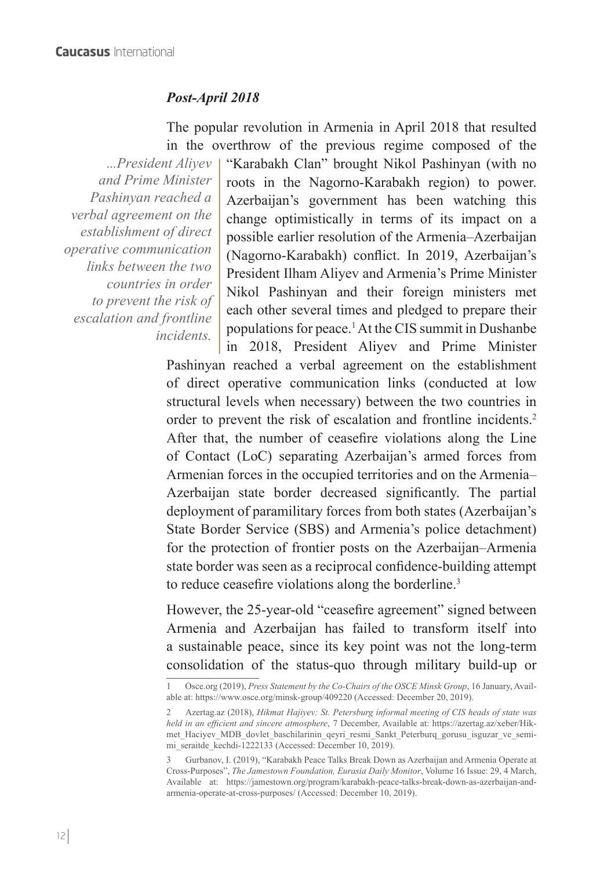#### *Post-April 2018*

The popular revolution in Armenia in April 2018 that resulted in the overthrow of the previous regime composed of the

*...President Aliyev and Prime Minister Pashinyan reached a verbal agreement on the establishment of direct operative communication links between the two countries in order to prevent the risk of escalation and frontline incidents.*

"Karabakh Clan" brought Nikol Pashinyan (with no roots in the Nagorno-Karabakh region) to power. Azerbaijan's government has been watching this change optimistically in terms of its impact on a possible earlier resolution of the Armenia–Azerbaijan (Nagorno-Karabakh) conflict. In 2019, Azerbaijan's President Ilham Aliyev and Armenia's Prime Minister Nikol Pashinyan and their foreign ministers met each other several times and pledged to prepare their populations for peace.1 At the CIS summit in Dushanbe in 2018, President Aliyev and Prime Minister

Pashinyan reached a verbal agreement on the establishment of direct operative communication links (conducted at low structural levels when necessary) between the two countries in order to prevent the risk of escalation and frontline incidents.<sup>2</sup> After that, the number of ceasefire violations along the Line of Contact (LoC) separating Azerbaijan's armed forces from Armenian forces in the occupied territories and on the Armenia– Azerbaijan state border decreased significantly. The partial deployment of paramilitary forces from both states (Azerbaijan's State Border Service (SBS) and Armenia's police detachment) for the protection of frontier posts on the Azerbaijan–Armenia state border was seen as a reciprocal confidence-building attempt to reduce ceasefire violations along the borderline.<sup>3</sup>

However, the 25-year-old "ceasefire agreement" signed between Armenia and Azerbaijan has failed to transform itself into a sustainable peace, since its key point was not the long-term consolidation of the status-quo through military build-up or

<sup>1</sup> Osce.org (2019), *Press Statement by the Co-Chairs of the OSCE Minsk Group*, 16 January, Available at: https://www.osce.org/minsk-group/409220 (Accessed: December 20, 2019).

<sup>2</sup> Azertag.az (2018), *Hikmat Hajiyev: St. Petersburg informal meeting of CIS heads of state was held in an efficient and sincere atmosphere*, 7 December, Available at: https://azertag.az/xeber/Hikmet Haciyev MDB\_dovlet\_baschilarinin\_qeyri\_resmi\_Sankt\_Peterburq\_gorusu\_isguzar\_ve\_semimi\_seraitde\_kechdi-1222133 (Accessed: December 10, 2019).

<sup>3</sup> Gurbanov, I. (2019), "Karabakh Peace Talks Break Down as Azerbaijan and Armenia Operate at Cross-Purposes", *The Jamestown Foundation, Eurasia Daily Monitor*, Volume 16 Issue: 29, 4 March, Available at: https://jamestown.org/program/karabakh-peace-talks-break-down-as-azerbaijan-andarmenia-operate-at-cross-purposes/ (Accessed: December 10, 2019).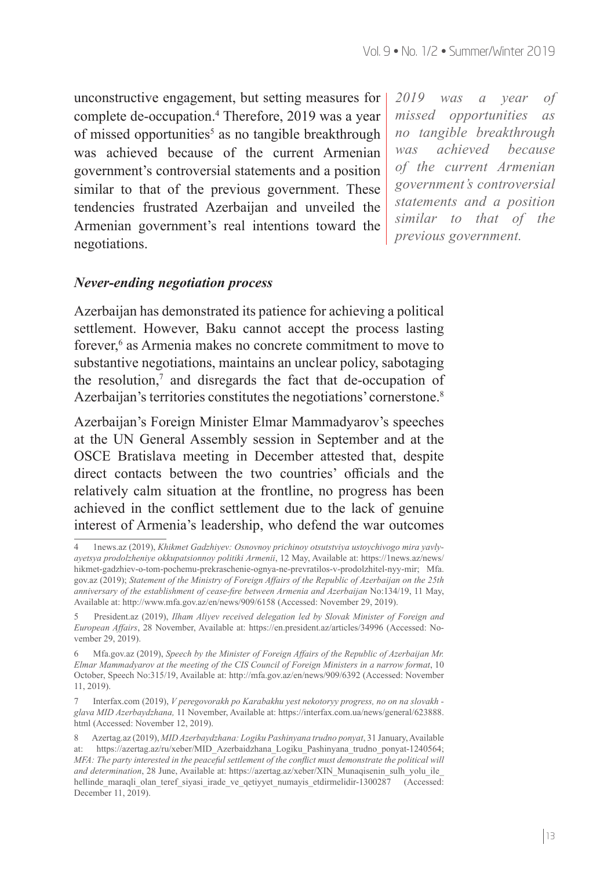unconstructive engagement, but setting measures for complete de-occupation.<sup>4</sup> Therefore, 2019 was a year of missed opportunities<sup>5</sup> as no tangible breakthrough was achieved because of the current Armenian government's controversial statements and a position similar to that of the previous government. These tendencies frustrated Azerbaijan and unveiled the Armenian government's real intentions toward the negotiations.

#### *Never-ending negotiation process*

Azerbaijan has demonstrated its patience for achieving a political settlement. However, Baku cannot accept the process lasting forever,<sup>6</sup> as Armenia makes no concrete commitment to move to substantive negotiations, maintains an unclear policy, sabotaging the resolution, $\alpha$  and disregards the fact that de-occupation of Azerbaijan's territories constitutes the negotiations' cornerstone.<sup>8</sup>

Azerbaijan's Foreign Minister Elmar Mammadyarov's speeches at the UN General Assembly session in September and at the OSCE Bratislava meeting in December attested that, despite direct contacts between the two countries' officials and the relatively calm situation at the frontline, no progress has been achieved in the conflict settlement due to the lack of genuine interest of Armenia's leadership, who defend the war outcomes

*2019 was a year of missed opportunities as no tangible breakthrough was achieved because of the current Armenian government's controversial statements and a position similar to that of the previous government.*

<sup>4 1</sup>news.az (2019), *Khikmet Gadzhiyev: Osnovnoy prichinoy otsutstviya ustoychivogo mira yavlyayetsya prodolzheniye okkupatsionnoy politiki Armenii*, 12 May, Available at: https://1news.az/news/ hikmet-gadzhiev-o-tom-pochemu-prekraschenie-ognya-ne-prevratilos-v-prodolzhitel-nyy-mir; Mfa. gov.az (2019); *Statement of the Ministry of Foreign Affairs of the Republic of Azerbaijan on the 25th anniversary of the establishment of cease-fire between Armenia and Azerbaijan* No:134/19, 11 May, Available at: http://www.mfa.gov.az/en/news/909/6158 (Accessed: November 29, 2019).

<sup>5</sup> President.az (2019), *Ilham Aliyev received delegation led by Slovak Minister of Foreign and European Affairs*, 28 November, Available at: https://en.president.az/articles/34996 (Accessed: November 29, 2019).

<sup>6</sup> Mfa.gov.az (2019), *Speech by the Minister of Foreign Affairs of the Republic of Azerbaijan Mr. Elmar Mammadyarov at the meeting of the CIS Council of Foreign Ministers in a narrow format*, 10 October, Speech No:315/19, Available at: http://mfa.gov.az/en/news/909/6392 (Accessed: November 11, 2019).

<sup>7</sup> Interfax.com (2019), *V peregovorakh po Karabakhu yest nekotoryy progress, no on na slovakh glava MID Azerbaydzhana,* 11 November, Available at: https://interfax.com.ua/news/general/623888. html (Accessed: November 12, 2019).

<sup>8</sup> Azertag.az (2019), *MID Azerbaydzhana: Logiku Pashinyana trudno ponyat*, 31 January, Available at: https://azertag.az/ru/xeber/MID\_Azerbaidzhana\_Logiku\_Pashinyana\_trudno\_ponyat-1240564; *MFA: The party interested in the peaceful settlement of the conflict must demonstrate the political will and determination*, 28 June, Available at: https://azertag.az/xeber/XIN\_Munaqisenin\_sulh\_yolu\_ile\_ hellinde maraqli olan teref siyasi irade ve qetiyyet numayis etdirmelidir-1300287 (Accessed: December 11, 2019).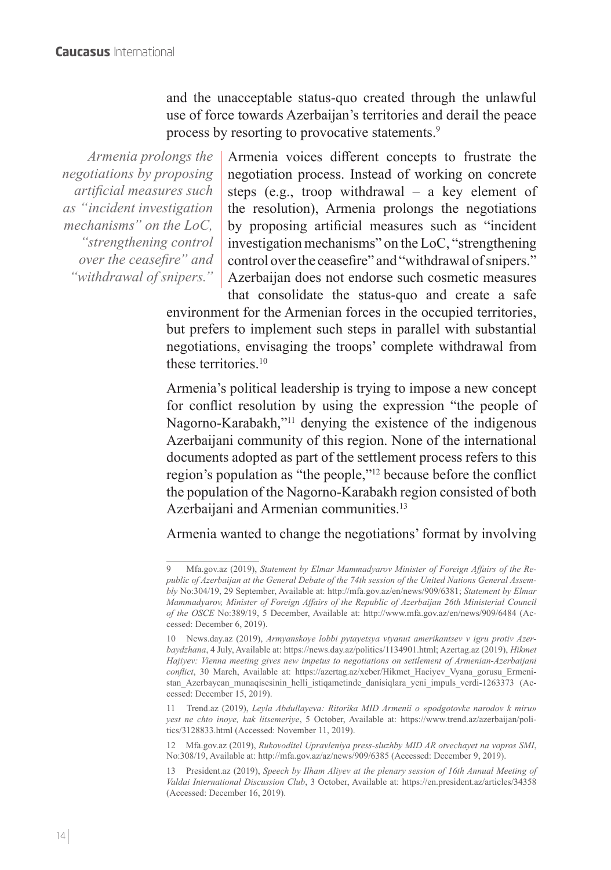and the unacceptable status-quo created through the unlawful use of force towards Azerbaijan's territories and derail the peace process by resorting to provocative statements.<sup>9</sup>

*Armenia prolongs the negotiations by proposing artificial measures such as "incident investigation mechanisms" on the LoC, "strengthening control over the ceasefire" and "withdrawal of snipers."* 

Armenia voices different concepts to frustrate the negotiation process. Instead of working on concrete steps (e.g., troop withdrawal – a key element of the resolution), Armenia prolongs the negotiations by proposing artificial measures such as "incident investigation mechanisms" on the LoC, "strengthening control over the ceasefire" and "withdrawal of snipers." Azerbaijan does not endorse such cosmetic measures

that consolidate the status-quo and create a safe environment for the Armenian forces in the occupied territories, but prefers to implement such steps in parallel with substantial negotiations, envisaging the troops' complete withdrawal from these territories.<sup>10</sup>

Armenia's political leadership is trying to impose a new concept for conflict resolution by using the expression "the people of Nagorno-Karabakh,"11 denying the existence of the indigenous Azerbaijani community of this region. None of the international documents adopted as part of the settlement process refers to this region's population as "the people,"12 because before the conflict the population of the Nagorno-Karabakh region consisted of both Azerbaijani and Armenian communities.<sup>13</sup>

Armenia wanted to change the negotiations' format by involving

12 Mfa.gov.az (2019), *Rukovoditel Upravleniya press-sluzhby MID AR otvechayet na vopros SMI*, No:308/19, Available at: http://mfa.gov.az/az/news/909/6385 (Accessed: December 9, 2019).

13 President.az (2019), *Speech by Ilham Aliyev at the plenary session of 16th Annual Meeting of Valdai International Discussion Club*, 3 October, Available at: https://en.president.az/articles/34358 (Accessed: December 16, 2019).

<sup>9</sup> Mfa.gov.az (2019), *Statement by Elmar Mammadyarov Minister of Foreign Affairs of the Republic of Azerbaijan at the General Debate of the 74th session of the United Nations General Assembly* No:304/19, 29 September, Available at: http://mfa.gov.az/en/news/909/6381; *Statement by Elmar Mammadyarov, Minister of Foreign Affairs of the Republic of Azerbaijan 26th Ministerial Council of the OSCE* No:389/19, 5 December, Available at: http://www.mfa.gov.az/en/news/909/6484 (Accessed: December 6, 2019).

<sup>10</sup> News.day.az (2019), *Armyanskoye lobbi pytayetsya vtyanut amerikantsev v igru protiv Azerbaydzhana*, 4 July, Available at: https://news.day.az/politics/1134901.html; Azertag.az (2019), *Hikmet Hajiyev: Vienna meeting gives new impetus to negotiations on settlement of Armenian-Azerbaijani conflict*, 30 March, Available at: https://azertag.az/xeber/Hikmet\_Haciyev\_Vyana\_gorusu\_Ermenistan\_Azerbaycan\_munaqisesinin\_helli\_istiqametinde\_danisiqlara\_yeni\_impuls\_verdi-1263373 (Accessed: December 15, 2019).

<sup>11</sup> Trend.az (2019), *Leyla Abdullayeva: Ritorika MID Armenii o «podgotovke narodov k miru» yest ne chto inoye, kak litsemeriye*, 5 October, Available at: https://www.trend.az/azerbaijan/politics/3128833.html (Accessed: November 11, 2019).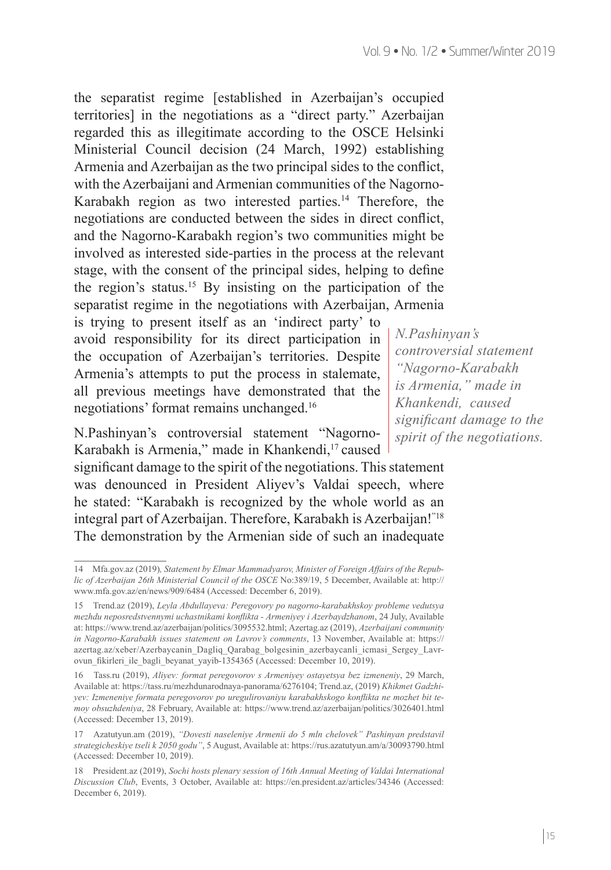the separatist regime [established in Azerbaijan's occupied territories] in the negotiations as a "direct party." Azerbaijan regarded this as illegitimate according to the OSCE Helsinki Ministerial Council decision (24 March, 1992) establishing Armenia and Azerbaijan as the two principal sides to the conflict, with the Azerbaijani and Armenian communities of the Nagorno-Karabakh region as two interested parties.<sup>14</sup> Therefore, the negotiations are conducted between the sides in direct conflict, and the Nagorno-Karabakh region's two communities might be involved as interested side-parties in the process at the relevant stage, with the consent of the principal sides, helping to define the region's status.<sup>15</sup> By insisting on the participation of the separatist regime in the negotiations with Azerbaijan, Armenia

is trying to present itself as an 'indirect party' to avoid responsibility for its direct participation in the occupation of Azerbaijan's territories. Despite Armenia's attempts to put the process in stalemate, all previous meetings have demonstrated that the negotiations' format remains unchanged.16

N.Pashinyan's controversial statement "Nagorno-Karabakh is Armenia," made in Khankendi,<sup>17</sup> caused

significant damage to the spirit of the negotiations. This statement was denounced in President Aliyev's Valdai speech, where he stated: "Karabakh is recognized by the whole world as an integral part of Azerbaijan. Therefore, Karabakh is Azerbaijan!"18 The demonstration by the Armenian side of such an inadequate

*N.Pashinyan's controversial statement "Nagorno-Karabakh is Armenia," made in Khankendi, caused significant damage to the spirit of the negotiations.*

<sup>14</sup> Mfa.gov.az (2019)*, Statement by Elmar Mammadyarov, Minister of Foreign Affairs of the Republic of Azerbaijan 26th Ministerial Council of the OSCE* No:389/19, 5 December, Available at: http:// www.mfa.gov.az/en/news/909/6484 (Accessed: December 6, 2019).

<sup>15</sup> Trend.az (2019), *Leyla Abdullayeva: Peregovory po nagorno-karabakhskoy probleme vedutsya mezhdu neposredstvennymi uchastnikami konflikta - Armeniyey i Azerbaydzhanom*, 24 July, Available at: https://www.trend.az/azerbaijan/politics/3095532.html; Azertag.az (2019), *Azerbaijani community in Nagorno-Karabakh issues statement on Lavrov's comments*, 13 November, Available at: https:// azertag.az/xeber/Azerbaycanin\_Dagliq\_Qarabag\_bolgesinin\_azerbaycanli\_icmasi\_Sergey\_Lavrovun fikirleri ile bagli beyanat yayib-1354365 (Accessed: December 10, 2019).

<sup>16</sup> Tass.ru (2019), *Aliyev: format peregovorov s Armeniyey ostayetsya bez izmeneniy*, 29 March, Available at: https://tass.ru/mezhdunarodnaya-panorama/6276104; Trend.az, (2019) *Khikmet Gadzhiyev: Izmeneniye formata peregovorov po uregulirovaniyu karabakhskogo konflikta ne mozhet bit temoy obsuzhdeniya*, 28 February, Available at: https://www.trend.az/azerbaijan/politics/3026401.html (Accessed: December 13, 2019).

<sup>17</sup> Azatutyun.am (2019), *"Dovesti naseleniye Armenii do 5 mln chelovek" Pashinyan predstavil strategicheskiye tseli k 2050 godu"*, 5 August, Available at: https://rus.azatutyun.am/a/30093790.html (Accessed: December 10, 2019).

<sup>18</sup> President.az (2019), *Sochi hosts plenary session of 16th Annual Meeting of Valdai International Discussion Club*, Events, 3 October, Available at: https://en.president.az/articles/34346 (Accessed: December 6, 2019).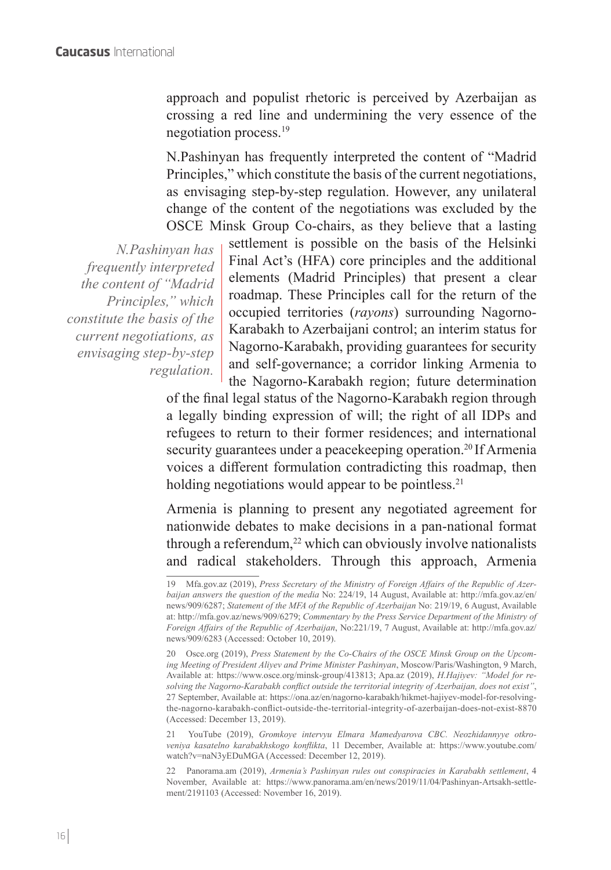approach and populist rhetoric is perceived by Azerbaijan as crossing a red line and undermining the very essence of the negotiation process.<sup>19</sup>

N.Pashinyan has frequently interpreted the content of "Madrid Principles," which constitute the basis of the current negotiations, as envisaging step-by-step regulation. However, any unilateral change of the content of the negotiations was excluded by the OSCE Minsk Group Co-chairs, as they believe that a lasting

*N.Pashinyan has frequently interpreted the content of "Madrid Principles," which constitute the basis of the current negotiations, as envisaging step-by-step regulation.*

settlement is possible on the basis of the Helsinki Final Act's (HFA) core principles and the additional elements (Madrid Principles) that present a clear roadmap. These Principles call for the return of the occupied territories (*rayons*) surrounding Nagorno-Karabakh to Azerbaijani control; an interim status for Nagorno-Karabakh, providing guarantees for security and self-governance; a corridor linking Armenia to the Nagorno-Karabakh region; future determination

of the final legal status of the Nagorno-Karabakh region through a legally binding expression of will; the right of all IDPs and refugees to return to their former residences; and international security guarantees under a peacekeeping operation.<sup>20</sup> If Armenia voices a different formulation contradicting this roadmap, then holding negotiations would appear to be pointless.<sup>21</sup>

Armenia is planning to present any negotiated agreement for nationwide debates to make decisions in a pan-national format through a referendum, $^{22}$  which can obviously involve nationalists and radical stakeholders. Through this approach, Armenia

21 YouTube (2019), *Gromkoye intervyu Elmara Mamedyarova CBC. Neozhidannyye otkroveniya kasatelno karabakhskogo konflikta*, 11 December, Available at: https://www.youtube.com/ watch?v=naN3yEDuMGA (Accessed: December 12, 2019).

22 Panorama.am (2019), *Armenia's Pashinyan rules out conspiracies in Karabakh settlement*, 4 November, Available at: https://www.panorama.am/en/news/2019/11/04/Pashinyan-Artsakh-settlement/2191103 (Accessed: November 16, 2019).

<sup>19</sup> Mfa.gov.az (2019), *Press Secretary of the Ministry of Foreign Affairs of the Republic of Azerbaijan answers the question of the media* No: 224/19, 14 August, Available at: http://mfa.gov.az/en/ news/909/6287; *Statement of the MFA of the Republic of Azerbaijan* No: 219/19, 6 August, Available at: http://mfa.gov.az/news/909/6279; *Commentary by the Press Service Department of the Ministry of Foreign Affairs of the Republic of Azerbaijan*, No:221/19, 7 August, Available at: http://mfa.gov.az/ news/909/6283 (Accessed: October 10, 2019).

<sup>20</sup> Osce.org (2019), *Press Statement by the Co-Chairs of the OSCE Minsk Group on the Upcoming Meeting of President Aliyev and Prime Minister Pashinyan*, Moscow/Paris/Washington, 9 March, Available at: https://www.osce.org/minsk-group/413813; Apa.az (2019), *H.Hajiyev: "Model for resolving the Nagorno-Karabakh conflict outside the territorial integrity of Azerbaijan, does not exist"*, 27 September, Available at: https://ona.az/en/nagorno-karabakh/hikmet-hajiyev-model-for-resolvingthe-nagorno-karabakh-conflict-outside-the-territorial-integrity-of-azerbaijan-does-not-exist-8870 (Accessed: December 13, 2019).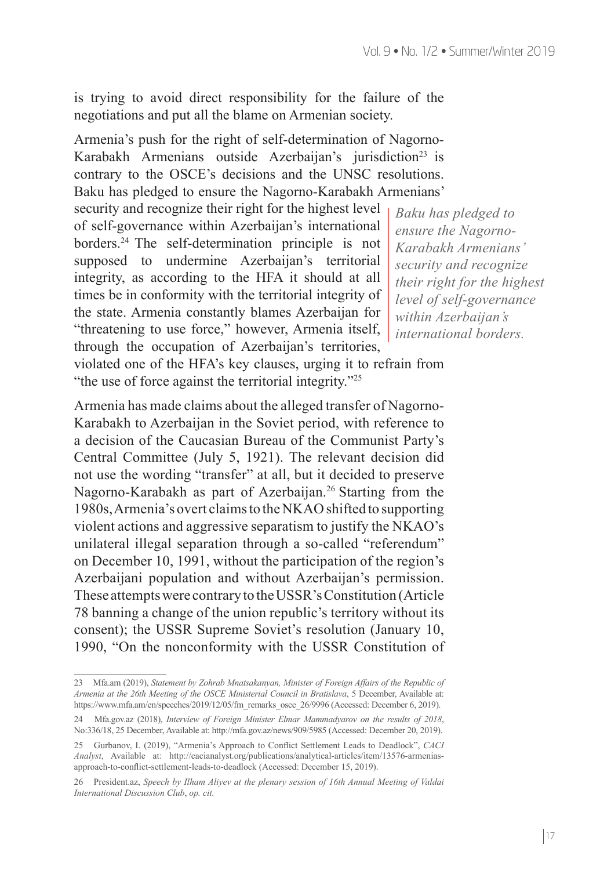is trying to avoid direct responsibility for the failure of the negotiations and put all the blame on Armenian society.

Armenia's push for the right of self-determination of Nagorno-Karabakh Armenians outside Azerbaijan's jurisdiction<sup>23</sup> is contrary to the OSCE's decisions and the UNSC resolutions. Baku has pledged to ensure the Nagorno-Karabakh Armenians'

security and recognize their right for the highest level of self-governance within Azerbaijan's international borders.<sup>24</sup> The self-determination principle is not supposed to undermine Azerbaijan's territorial integrity, as according to the HFA it should at all times be in conformity with the territorial integrity of the state. Armenia constantly blames Azerbaijan for "threatening to use force," however, Armenia itself, through the occupation of Azerbaijan's territories, violated one of the HFA's key clauses, urging it to refrain from

"the use of force against the territorial integrity."<sup>25</sup>

*Baku has pledged to ensure the Nagorno-Karabakh Armenians' security and recognize their right for the highest level of self-governance within Azerbaijan's international borders.*

Armenia has made claims about the alleged transfer of Nagorno-Karabakh to Azerbaijan in the Soviet period, with reference to a decision of the Caucasian Bureau of the Communist Party's Central Committee (July 5, 1921). The relevant decision did not use the wording "transfer" at all, but it decided to preserve Nagorno-Karabakh as part of Azerbaijan.<sup>26</sup> Starting from the 1980s, Armenia's overt claims to the NKAO shifted to supporting violent actions and aggressive separatism to justify the NKAO's unilateral illegal separation through a so-called "referendum" on December 10, 1991, without the participation of the region's Azerbaijani population and without Azerbaijan's permission. These attempts were contrary to the USSR's Constitution (Article 78 banning a change of the union republic's territory without its consent); the USSR Supreme Soviet's resolution (January 10, 1990, "On the nonconformity with the USSR Constitution of

<sup>23</sup> Mfa.am (2019), *Statement by Zohrab Mnatsakanyan, Minister of Foreign Affairs of the Republic of Armenia at the 26th Meeting of the OSCE Ministerial Council in Bratislava*, 5 December, Available at: https://www.mfa.am/en/speeches/2019/12/05/fm\_remarks\_osce\_26/9996 (Accessed: December 6, 2019).

<sup>24</sup> Mfa.gov.az (2018), *Interview of Foreign Minister Elmar Mammadyarov on the results of 2018*, No:336/18, 25 December, Available at: http://mfa.gov.az/news/909/5985 (Accessed: December 20, 2019).

<sup>25</sup> Gurbanov, I. (2019), "Armenia's Approach to Conflict Settlement Leads to Deadlock", *CACI Analyst*, Available at: http://cacianalyst.org/publications/analytical-articles/item/13576-armeniasapproach-to-conflict-settlement-leads-to-deadlock (Accessed: December 15, 2019).

<sup>26</sup> President.az, *Speech by Ilham Aliyev at the plenary session of 16th Annual Meeting of Valdai International Discussion Club*, *op. cit.*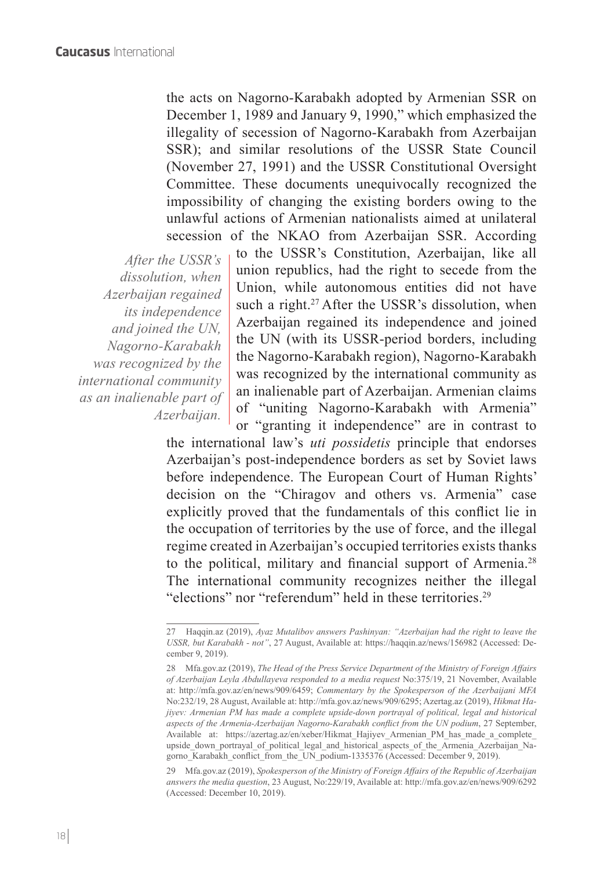the acts on Nagorno-Karabakh adopted by Armenian SSR on December 1, 1989 and January 9, 1990," which emphasized the illegality of secession of Nagorno-Karabakh from Azerbaijan SSR); and similar resolutions of the USSR State Council (November 27, 1991) and the USSR Constitutional Oversight Committee. These documents unequivocally recognized the impossibility of changing the existing borders owing to the unlawful actions of Armenian nationalists aimed at unilateral

*After the USSR's dissolution, when Azerbaijan regained its independence and joined the UN, Nagorno-Karabakh was recognized by the international community as an inalienable part of Azerbaijan.*

secession of the NKAO from Azerbaijan SSR. According to the USSR's Constitution, Azerbaijan, like all union republics, had the right to secede from the Union, while autonomous entities did not have such a right.<sup>27</sup> After the USSR's dissolution, when Azerbaijan regained its independence and joined the UN (with its USSR-period borders, including the Nagorno-Karabakh region), Nagorno-Karabakh was recognized by the international community as an inalienable part of Azerbaijan. Armenian claims of "uniting Nagorno-Karabakh with Armenia" or "granting it independence" are in contrast to

the international law's *uti possidetis* principle that endorses Azerbaijan's post-independence borders as set by Soviet laws before independence. The European Court of Human Rights' decision on the "Chiragov and others vs. Armenia" case explicitly proved that the fundamentals of this conflict lie in the occupation of territories by the use of force, and the illegal regime created in Azerbaijan's occupied territories exists thanks to the political, military and financial support of Armenia.<sup>28</sup> The international community recognizes neither the illegal "elections" nor "referendum" held in these territories.<sup>29</sup>

29 Mfa.gov.az (2019), *Spokesperson of the Ministry of Foreign Affairs of the Republic of Azerbaijan answers the media question*, 23 August, No:229/19, Available at: http://mfa.gov.az/en/news/909/6292 (Accessed: December 10, 2019).

<sup>27</sup> Haqqin.az (2019), *Ayaz Mutalibov answers Pashinyan: "Azerbaijan had the right to leave the USSR, but Karabakh - not"*, 27 August, Available at: https://haqqin.az/news/156982 (Accessed: December 9, 2019).

<sup>28</sup> Mfa.gov.az (2019), *The Head of the Press Service Department of the Ministry of Foreign Affairs of Azerbaijan Leyla Abdullayeva responded to a media request* No:375/19, 21 November, Available at: http://mfa.gov.az/en/news/909/6459; *Commentary by the Spokesperson of the Azerbaijani MFA* No:232/19, 28 August, Available at: http://mfa.gov.az/news/909/6295; Azertag.az (2019), *Hikmat Hajiyev: Armenian PM has made a complete upside-down portrayal of political, legal and historical aspects of the Armenia-Azerbaijan Nagorno-Karabakh conflict from the UN podium*, 27 September, Available at: https://azertag.az/en/xeber/Hikmat\_Hajiyev\_Armenian\_PM\_has\_made\_a\_complete\_ upside down portrayal of political legal and historical aspects of the Armenia Azerbaijan Nagorno Karabakh conflict from the UN podium-1335376 (Accessed: December 9, 2019).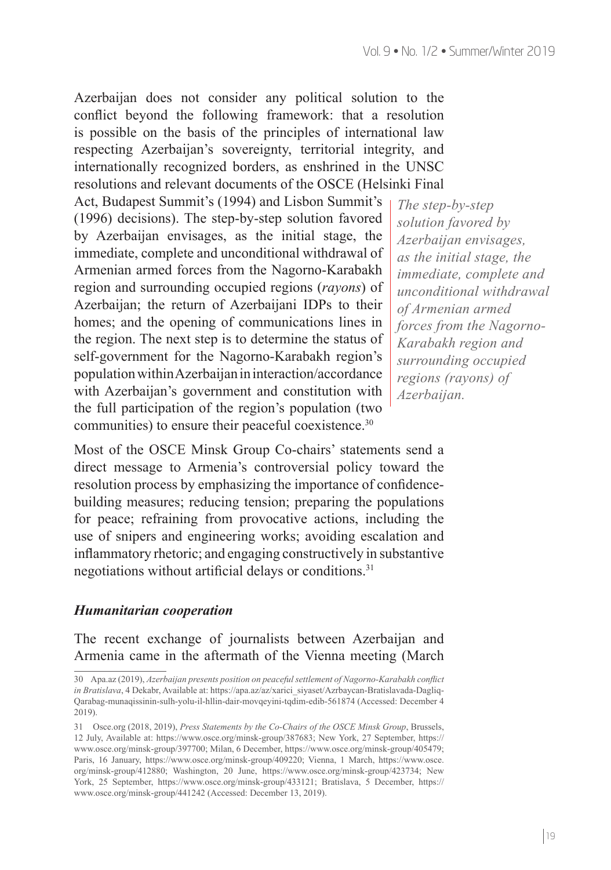Azerbaijan does not consider any political solution to the conflict beyond the following framework: that a resolution is possible on the basis of the principles of international law respecting Azerbaijan's sovereignty, territorial integrity, and internationally recognized borders, as enshrined in the UNSC resolutions and relevant documents of the OSCE (Helsinki Final

Act, Budapest Summit's (1994) and Lisbon Summit's (1996) decisions). The step-by-step solution favored by Azerbaijan envisages, as the initial stage, the immediate, complete and unconditional withdrawal of Armenian armed forces from the Nagorno-Karabakh region and surrounding occupied regions (*rayons*) of Azerbaijan; the return of Azerbaijani IDPs to their homes; and the opening of communications lines in the region. The next step is to determine the status of self-government for the Nagorno-Karabakh region's population within Azerbaijan in interaction/accordance with Azerbaijan's government and constitution with the full participation of the region's population (two communities) to ensure their peaceful coexistence.30

*The step-by-step solution favored by Azerbaijan envisages, as the initial stage, the immediate, complete and unconditional withdrawal of Armenian armed forces from the Nagorno-Karabakh region and surrounding occupied regions (rayons) of Azerbaijan.*

Most of the OSCE Minsk Group Co-chairs' statements send a direct message to Armenia's controversial policy toward the resolution process by emphasizing the importance of confidencebuilding measures; reducing tension; preparing the populations for peace; refraining from provocative actions, including the use of snipers and engineering works; avoiding escalation and inflammatory rhetoric; and engaging constructively in substantive negotiations without artificial delays or conditions.<sup>31</sup>

#### *Humanitarian cooperation*

The recent exchange of journalists between Azerbaijan and Armenia came in the aftermath of the Vienna meeting (March

<sup>30</sup> Apa.az (2019), *Azerbaijan presents position on peaceful settlement of Nagorno-Karabakh conflict in Bratislava*, 4 Dekabr, Available at: https://apa.az/az/xarici\_siyaset/Azrbaycan-Bratislavada-Dagliq-Qarabag-munaqissinin-sulh-yolu-il-hllin-dair-movqeyini-tqdim-edib-561874 (Accessed: December 4 2019).

<sup>31</sup> Osce.org (2018, 2019), *Press Statements by the Co-Chairs of the OSCE Minsk Group*, Brussels, 12 July, Available at: https://www.osce.org/minsk-group/387683; New York, 27 September, https:// www.osce.org/minsk-group/397700; Milan, 6 December, https://www.osce.org/minsk-group/405479; Paris, 16 January, https://www.osce.org/minsk-group/409220; Vienna, 1 March, https://www.osce. org/minsk-group/412880; Washington, 20 June, https://www.osce.org/minsk-group/423734; New York, 25 September, https://www.osce.org/minsk-group/433121; Bratislava, 5 December, https:// www.osce.org/minsk-group/441242 (Accessed: December 13, 2019).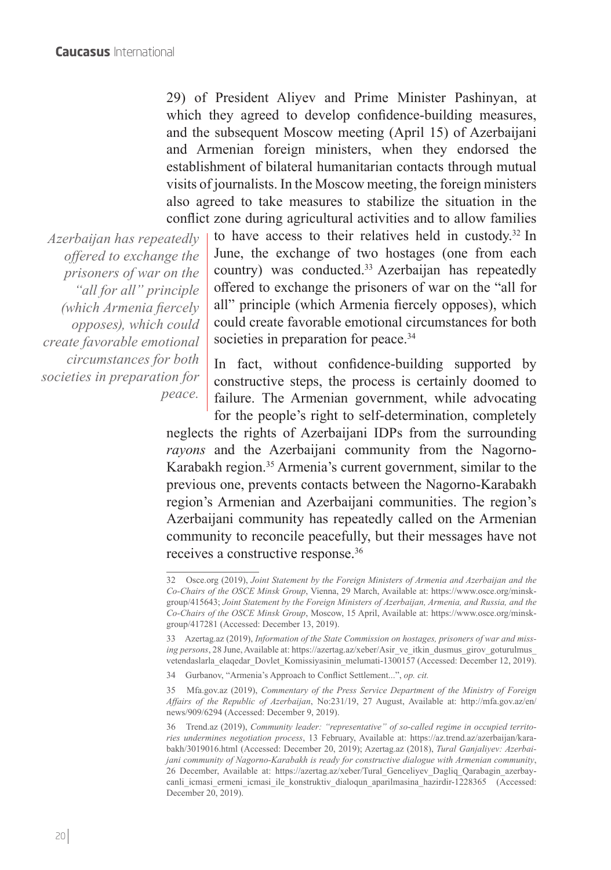29) of President Aliyev and Prime Minister Pashinyan, at which they agreed to develop confidence-building measures, and the subsequent Moscow meeting (April 15) of Azerbaijani and Armenian foreign ministers, when they endorsed the establishment of bilateral humanitarian contacts through mutual visits of journalists. In the Moscow meeting, the foreign ministers also agreed to take measures to stabilize the situation in the conflict zone during agricultural activities and to allow families

*Azerbaijan has repeatedly offered to exchange the prisoners of war on the "all for all" principle (which Armenia fiercely opposes), which could create favorable emotional circumstances for both societies in preparation for peace.*

to have access to their relatives held in custody.32 In June, the exchange of two hostages (one from each country) was conducted.<sup>33</sup> Azerbaijan has repeatedly offered to exchange the prisoners of war on the "all for all" principle (which Armenia fiercely opposes), which could create favorable emotional circumstances for both societies in preparation for peace.<sup>34</sup>

In fact, without confidence-building supported by constructive steps, the process is certainly doomed to failure. The Armenian government, while advocating for the people's right to self-determination, completely

neglects the rights of Azerbaijani IDPs from the surrounding *rayons* and the Azerbaijani community from the Nagorno-Karabakh region.<sup>35</sup> Armenia's current government, similar to the previous one, prevents contacts between the Nagorno-Karabakh region's Armenian and Azerbaijani communities. The region's Azerbaijani community has repeatedly called on the Armenian community to reconcile peacefully, but their messages have not receives a constructive response.36

<sup>32</sup> Osce.org (2019), *Joint Statement by the Foreign Ministers of Armenia and Azerbaijan and the Co-Chairs of the OSCE Minsk Group*, Vienna, 29 March, Available at: https://www.osce.org/minskgroup/415643; *Joint Statement by the Foreign Ministers of Azerbaijan, Armenia, and Russia, and the Co-Chairs of the OSCE Minsk Group*, Moscow, 15 April, Available at: https://www.osce.org/minskgroup/417281 (Accessed: December 13, 2019).

<sup>33</sup> Azertag.az (2019), *Information of the State Commission on hostages, prisoners of war and missing persons*, 28 June, Available at: https://azertag.az/xeber/Asir\_ve\_itkin\_dusmus\_girov\_goturulmus vetendaslarla elaqedar Dovlet Komissiyasinin melumati-1300157 (Accessed: December 12, 2019).

<sup>34</sup> Gurbanov, "Armenia's Approach to Conflict Settlement...", *op. cit.*

<sup>35</sup> Mfa.gov.az (2019), *Commentary of the Press Service Department of the Ministry of Foreign Affairs of the Republic of Azerbaijan*, No:231/19, 27 August, Available at: http://mfa.gov.az/en/ news/909/6294 (Accessed: December 9, 2019).

<sup>36</sup> Trend.az (2019), *Community leader: "representative" of so-called regime in occupied territories undermines negotiation process*, 13 February, Available at: https://az.trend.az/azerbaijan/karabakh/3019016.html (Accessed: December 20, 2019); Azertag.az (2018), *Tural Ganjaliyev: Azerbaijani community of Nagorno-Karabakh is ready for constructive dialogue with Armenian community*, 26 December, Available at: https://azertag.az/xeber/Tural\_Genceliyev\_Dagliq\_Qarabagin\_azerbaycanli icmasi ermeni icmasi ile konstruktiv dialoqun aparilmasina hazirdir-1228365 (Accessed: December 20, 2019).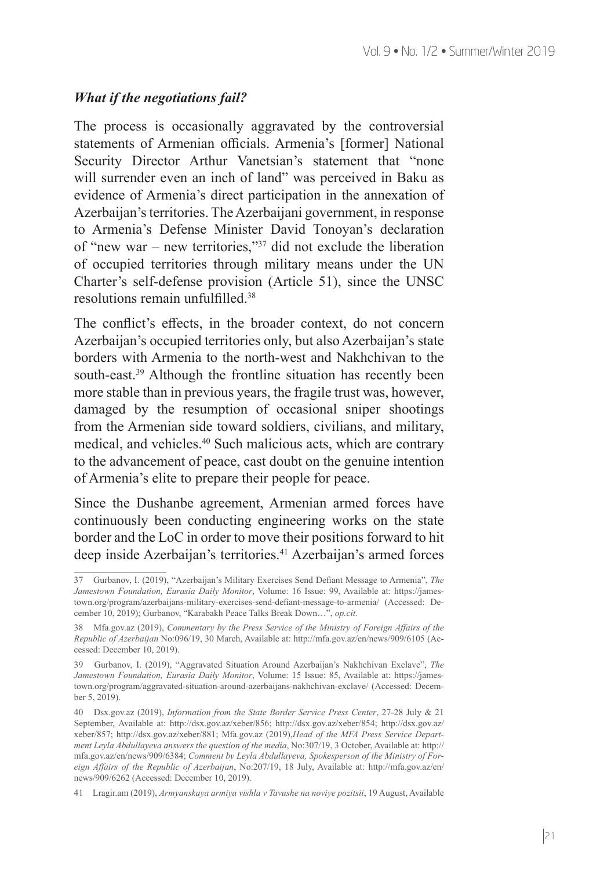#### *What if the negotiations fail?*

The process is occasionally aggravated by the controversial statements of Armenian officials. Armenia's [former] National Security Director Arthur Vanetsian's statement that "none will surrender even an inch of land" was perceived in Baku as evidence of Armenia's direct participation in the annexation of Azerbaijan's territories. The Azerbaijani government, in response to Armenia's Defense Minister David Tonoyan's declaration of "new war – new territories,"37 did not exclude the liberation of occupied territories through military means under the UN Charter's self-defense provision (Article 51), since the UNSC resolutions remain unfulfilled.<sup>38</sup>

The conflict's effects, in the broader context, do not concern Azerbaijan's occupied territories only, but also Azerbaijan's state borders with Armenia to the north-west and Nakhchivan to the south-east.<sup>39</sup> Although the frontline situation has recently been more stable than in previous years, the fragile trust was, however, damaged by the resumption of occasional sniper shootings from the Armenian side toward soldiers, civilians, and military, medical, and vehicles.40 Such malicious acts, which are contrary to the advancement of peace, cast doubt on the genuine intention of Armenia's elite to prepare their people for peace.

Since the Dushanbe agreement, Armenian armed forces have continuously been conducting engineering works on the state border and the LoC in order to move their positions forward to hit deep inside Azerbaijan's territories.<sup>41</sup> Azerbaijan's armed forces

<sup>37</sup> Gurbanov, I. (2019), "Azerbaijan's Military Exercises Send Defiant Message to Armenia", *The Jamestown Foundation, Eurasia Daily Monitor*, Volume: 16 Issue: 99, Available at: https://jamestown.org/program/azerbaijans-military-exercises-send-defiant-message-to-armenia/ (Accessed: December 10, 2019); Gurbanov, "Karabakh Peace Talks Break Down…", *op.cit.*

<sup>38</sup> Mfa.gov.az (2019), *Commentary by the Press Service of the Ministry of Foreign Affairs of the Republic of Azerbaijan* No:096/19, 30 March, Available at: http://mfa.gov.az/en/news/909/6105 (Accessed: December 10, 2019).

<sup>39</sup> Gurbanov, I. (2019), "Aggravated Situation Around Azerbaijan's Nakhchivan Exclave", *The Jamestown Foundation, Eurasia Daily Monitor*, Volume: 15 Issue: 85, Available at: https://jamestown.org/program/aggravated-situation-around-azerbaijans-nakhchivan-exclave/ (Accessed: December 5, 2019).

<sup>40</sup> Dsx.gov.az (2019), *Information from the State Border Service Press Center*, 27-28 July & 21 September, Available at: http://dsx.gov.az/xeber/856; http://dsx.gov.az/xeber/854; http://dsx.gov.az/ xeber/857; http://dsx.gov.az/xeber/881; Mfa.gov.az (2019),*Head of the MFA Press Service Department Leyla Abdullayeva answers the question of the media*, No:307/19, 3 October, Available at: http:// mfa.gov.az/en/news/909/6384; *Comment by Leyla Abdullayeva, Spokesperson of the Ministry of Foreign Affairs of the Republic of Azerbaijan*, No:207/19, 18 July, Available at: http://mfa.gov.az/en/ news/909/6262 (Accessed: December 10, 2019).

<sup>41</sup> Lragir.am (2019), *Armyanskaya armiya vishla v Tavushe na noviye pozitsii*, 19 August, Available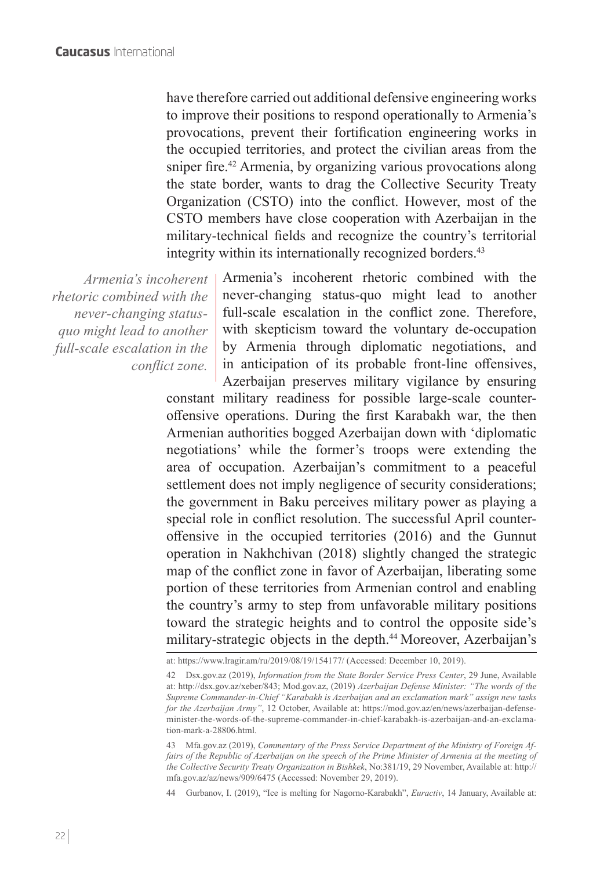have therefore carried out additional defensive engineering works to improve their positions to respond operationally to Armenia's provocations, prevent their fortification engineering works in the occupied territories, and protect the civilian areas from the sniper fire.<sup>42</sup> Armenia, by organizing various provocations along the state border, wants to drag the Collective Security Treaty Organization (CSTO) into the conflict. However, most of the CSTO members have close cooperation with Azerbaijan in the military-technical fields and recognize the country's territorial integrity within its internationally recognized borders.<sup>43</sup>

*rhetoric combined with the never-changing statusquo might lead to another full-scale escalation in the conflict zone.*

*Armenia's incoherent*  Armenia's incoherent rhetoric combined with the never-changing status-quo might lead to another full-scale escalation in the conflict zone. Therefore, with skepticism toward the voluntary de-occupation by Armenia through diplomatic negotiations, and in anticipation of its probable front-line offensives, Azerbaijan preserves military vigilance by ensuring

constant military readiness for possible large-scale counteroffensive operations. During the first Karabakh war, the then Armenian authorities bogged Azerbaijan down with 'diplomatic negotiations' while the former's troops were extending the area of occupation. Azerbaijan's commitment to a peaceful settlement does not imply negligence of security considerations; the government in Baku perceives military power as playing a special role in conflict resolution. The successful April counteroffensive in the occupied territories (2016) and the Gunnut operation in Nakhchivan (2018) slightly changed the strategic map of the conflict zone in favor of Azerbaijan, liberating some portion of these territories from Armenian control and enabling the country's army to step from unfavorable military positions toward the strategic heights and to control the opposite side's military-strategic objects in the depth.<sup>44</sup> Moreover, Azerbaijan's

44 Gurbanov, I. (2019), "Ice is melting for Nagorno-Karabakh", *Euractiv*, 14 January, Available at:

at: https://www.lragir.am/ru/2019/08/19/154177/ (Accessed: December 10, 2019).

<sup>42</sup> Dsx.gov.az (2019), *Information from the State Border Service Press Center*, 29 June, Available at: http://dsx.gov.az/xeber/843; Mod.gov.az, (2019) *Azerbaijan Defense Minister: "The words of the Supreme Commander-in-Chief "Karabakh is Azerbaijan and an exclamation mark" assign new tasks for the Azerbaijan Army"*, 12 October, Available at: https://mod.gov.az/en/news/azerbaijan-defenseminister-the-words-of-the-supreme-commander-in-chief-karabakh-is-azerbaijan-and-an-exclamation-mark-a-28806.html.

<sup>43</sup> Mfa.gov.az (2019), *Commentary of the Press Service Department of the Ministry of Foreign Affairs of the Republic of Azerbaijan on the speech of the Prime Minister of Armenia at the meeting of the Collective Security Treaty Organization in Bishkek*, No:381/19, 29 November, Available at: http:// mfa.gov.az/az/news/909/6475 (Accessed: November 29, 2019).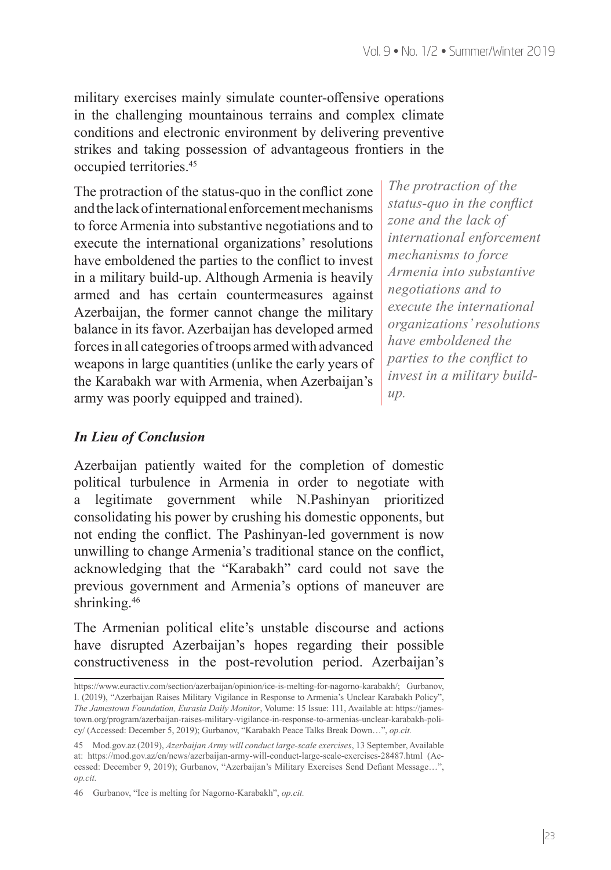military exercises mainly simulate counter-offensive operations in the challenging mountainous terrains and complex climate conditions and electronic environment by delivering preventive strikes and taking possession of advantageous frontiers in the occupied territories.<sup>45</sup>

The protraction of the status-quo in the conflict zone and the lack of international enforcement mechanisms to force Armenia into substantive negotiations and to execute the international organizations' resolutions have emboldened the parties to the conflict to invest in a military build-up. Although Armenia is heavily armed and has certain countermeasures against Azerbaijan, the former cannot change the military balance in its favor. Azerbaijan has developed armed forces in all categories of troops armed with advanced weapons in large quantities (unlike the early years of the Karabakh war with Armenia, when Azerbaijan's army was poorly equipped and trained).

*The protraction of the status-quo in the conflict zone and the lack of international enforcement mechanisms to force Armenia into substantive negotiations and to execute the international organizations' resolutions have emboldened the parties to the conflict to invest in a military buildup.*

### *In Lieu of Conclusion*

Azerbaijan patiently waited for the completion of domestic political turbulence in Armenia in order to negotiate with a legitimate government while N.Pashinyan prioritized consolidating his power by crushing his domestic opponents, but not ending the conflict. The Pashinyan-led government is now unwilling to change Armenia's traditional stance on the conflict, acknowledging that the "Karabakh" card could not save the previous government and Armenia's options of maneuver are shrinking.<sup>46</sup>

The Armenian political elite's unstable discourse and actions have disrupted Azerbaijan's hopes regarding their possible constructiveness in the post-revolution period. Azerbaijan's

https://www.euractiv.com/section/azerbaijan/opinion/ice-is-melting-for-nagorno-karabakh/; Gurbanov, I. (2019), "Azerbaijan Raises Military Vigilance in Response to Armenia's Unclear Karabakh Policy", *The Jamestown Foundation, Eurasia Daily Monitor*, Volume: 15 Issue: 111, Available at: https://jamestown.org/program/azerbaijan-raises-military-vigilance-in-response-to-armenias-unclear-karabakh-policy/ (Accessed: December 5, 2019); Gurbanov, "Karabakh Peace Talks Break Down…", *op.cit.*

<sup>45</sup> Mod.gov.az (2019), *Azerbaijan Army will conduct large-scale exercises*, 13 September, Available at: https://mod.gov.az/en/news/azerbaijan-army-will-conduct-large-scale-exercises-28487.html (Accessed: December 9, 2019); Gurbanov, "Azerbaijan's Military Exercises Send Defiant Message…", *op.cit.*

<sup>46</sup> Gurbanov, "Ice is melting for Nagorno-Karabakh", *op.cit.*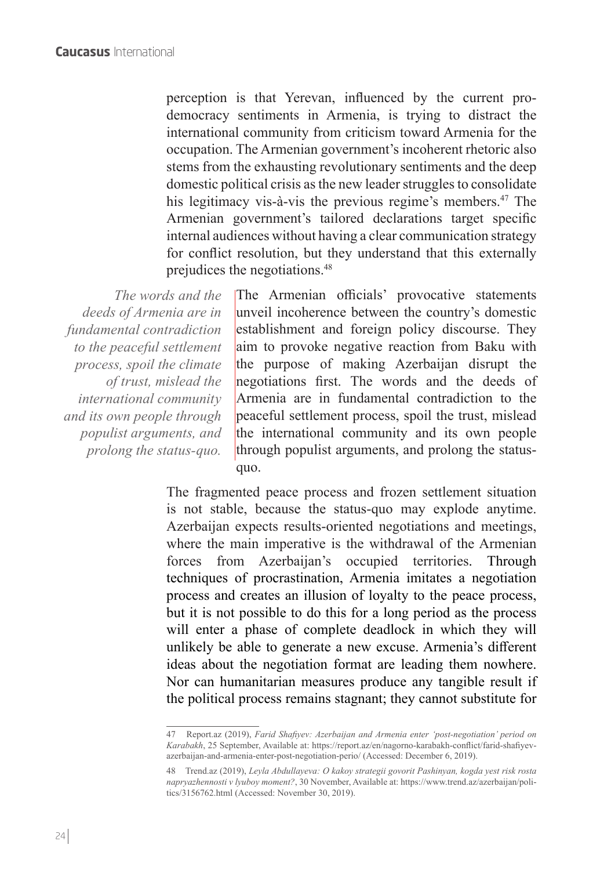perception is that Yerevan, influenced by the current prodemocracy sentiments in Armenia, is trying to distract the international community from criticism toward Armenia for the occupation. The Armenian government's incoherent rhetoric also stems from the exhausting revolutionary sentiments and the deep domestic political crisis as the new leader struggles to consolidate his legitimacy vis-à-vis the previous regime's members.<sup>47</sup> The Armenian government's tailored declarations target specific internal audiences without having a clear communication strategy for conflict resolution, but they understand that this externally prejudices the negotiations.<sup>48</sup>

*The words and the deeds of Armenia are in fundamental contradiction to the peaceful settlement process, spoil the climate of trust, mislead the international community and its own people through populist arguments, and prolong the status-quo.*

The Armenian officials' provocative statements unveil incoherence between the country's domestic establishment and foreign policy discourse. They aim to provoke negative reaction from Baku with the purpose of making Azerbaijan disrupt the negotiations first. The words and the deeds of Armenia are in fundamental contradiction to the peaceful settlement process, spoil the trust, mislead the international community and its own people through populist arguments, and prolong the statusquo.

The fragmented peace process and frozen settlement situation is not stable, because the status-quo may explode anytime. Azerbaijan expects results-oriented negotiations and meetings, where the main imperative is the withdrawal of the Armenian forces from Azerbaijan's occupied territories. Through techniques of procrastination, Armenia imitates a negotiation process and creates an illusion of loyalty to the peace process, but it is not possible to do this for a long period as the process will enter a phase of complete deadlock in which they will unlikely be able to generate a new excuse. Armenia's different ideas about the negotiation format are leading them nowhere. Nor can humanitarian measures produce any tangible result if the political process remains stagnant; they cannot substitute for

<sup>47</sup> Report.az (2019), *Farid Shafiyev: Azerbaijan and Armenia enter 'post-negotiation' period on Karabakh*, 25 September, Available at: https://report.az/en/nagorno-karabakh-conflict/farid-shafiyevazerbaijan-and-armenia-enter-post-negotiation-perio/ (Accessed: December 6, 2019).

<sup>48</sup> Trend.az (2019), *Leyla Abdullayeva: O kakoy strategii govorit Pashinyan, kogda yest risk rosta napryazhennosti v lyuboy moment?*, 30 November, Available at: https://www.trend.az/azerbaijan/politics/3156762.html (Accessed: November 30, 2019).